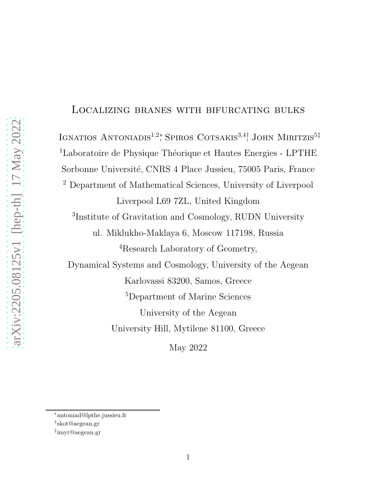#### Localizing branes with bifurcating bulks

IGNATIOS ANTONIADIS<sup>1,2</sup><sup>\*</sup>, SPIROS COTSAKIS<sup>3,4†</sup>, JOHN MIRITZIS<sup>5‡</sup> <sup>1</sup>Laboratoire de Physique Théorique et Hautes Energies - LPTHE Sorbonne Université, CNRS 4 Place Jussieu, 75005 Paris, France <sup>2</sup> Department of Mathematical Sciences, University of Liverpool Liverpool L69 7ZL, United Kingdom 3 Institute of Gravitation and Cosmology, RUDN University ul. Miklukho-Maklaya 6, Moscow 117198, Russia <sup>4</sup>Research Laboratory of Geometry, Dynamical Systems and Cosmology, University of the Aegean Karlovassi 83200, Samos, Greece <sup>5</sup>Department of Marine Sciences University of the Aegean University Hill, Mytilene 81100, Greece

May 2022

<sup>∗</sup>antoniad@lpthe.jussieu.fr

<sup>†</sup> skot@aegean.gr

<sup>‡</sup> imyr@aegean.gr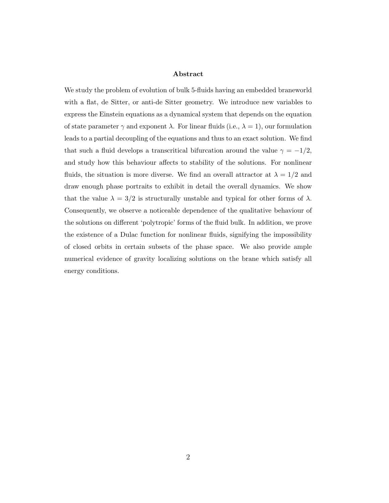#### Abstract

We study the problem of evolution of bulk 5-fluids having an embedded braneworld with a flat, de Sitter, or anti-de Sitter geometry. We introduce new variables to express the Einstein equations as a dynamical system that depends on the equation of state parameter  $\gamma$  and exponent  $\lambda$ . For linear fluids (i.e.,  $\lambda = 1$ ), our formulation leads to a partial decoupling of the equations and thus to an exact solution. We find that such a fluid develops a transcritical bifurcation around the value  $\gamma = -1/2$ , and study how this behaviour affects to stability of the solutions. For nonlinear fluids, the situation is more diverse. We find an overall attractor at  $\lambda = 1/2$  and draw enough phase portraits to exhibit in detail the overall dynamics. We show that the value  $\lambda = 3/2$  is structurally unstable and typical for other forms of  $\lambda$ . Consequently, we observe a noticeable dependence of the qualitative behaviour of the solutions on different 'polytropic' forms of the fluid bulk. In addition, we prove the existence of a Dulac function for nonlinear fluids, signifying the impossibility of closed orbits in certain subsets of the phase space. We also provide ample numerical evidence of gravity localizing solutions on the brane which satisfy all energy conditions.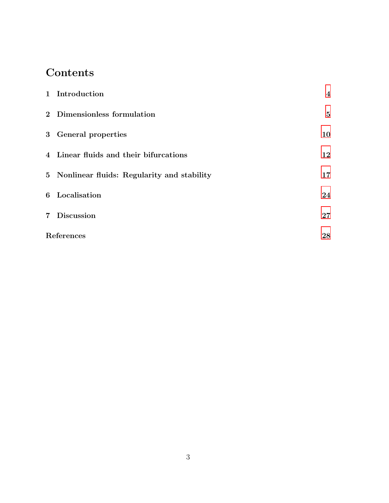# Contents

|       | 1 Introduction                               | $\overline{\mathbf{4}}$ |
|-------|----------------------------------------------|-------------------------|
|       | 2 Dimensionless formulation                  | $\bf{5}$                |
|       | 3 General properties                         | 10                      |
|       | 4 Linear fluids and their bifurcations       | 12                      |
|       | 5 Nonlinear fluids: Regularity and stability | 17                      |
|       | 6 Localisation                               | 24                      |
| $7\,$ | <b>Discussion</b>                            | 27                      |
|       | References                                   |                         |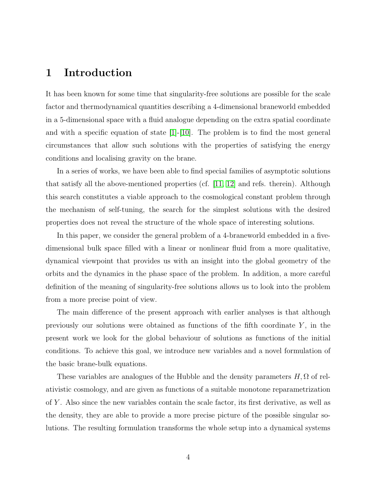#### <span id="page-3-0"></span>1 Introduction

It has been known for some time that singularity-free solutions are possible for the scale factor and thermodynamical quantities describing a 4-dimensional braneworld embedded in a 5-dimensional space with a fluid analogue depending on the extra spatial coordinate and with a specific equation of state [\[1\]](#page-27-1)-[\[10\]](#page-28-0). The problem is to find the most general circumstances that allow such solutions with the properties of satisfying the energy conditions and localising gravity on the brane.

In a series of works, we have been able to find special families of asymptotic solutions that satisfy all the above-mentioned properties (cf.  $|11, 12|$  and refs. therein). Although this search constitutes a viable approach to the cosmological constant problem through the mechanism of self-tuning, the search for the simplest solutions with the desired properties does not reveal the structure of the whole space of interesting solutions.

In this paper, we consider the general problem of a 4-braneworld embedded in a fivedimensional bulk space filled with a linear or nonlinear fluid from a more qualitative, dynamical viewpoint that provides us with an insight into the global geometry of the orbits and the dynamics in the phase space of the problem. In addition, a more careful definition of the meaning of singularity-free solutions allows us to look into the problem from a more precise point of view.

The main difference of the present approach with earlier analyses is that although previously our solutions were obtained as functions of the fifth coordinate  $Y$ , in the present work we look for the global behaviour of solutions as functions of the initial conditions. To achieve this goal, we introduce new variables and a novel formulation of the basic brane-bulk equations.

These variables are analogues of the Hubble and the density parameters  $H, \Omega$  of relativistic cosmology, and are given as functions of a suitable monotone reparametrization of Y . Also since the new variables contain the scale factor, its first derivative, as well as the density, they are able to provide a more precise picture of the possible singular solutions. The resulting formulation transforms the whole setup into a dynamical systems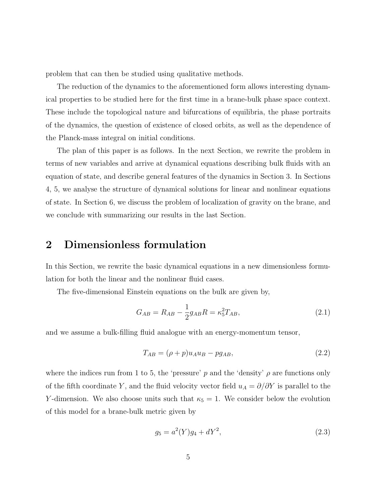problem that can then be studied using qualitative methods.

The reduction of the dynamics to the aforementioned form allows interesting dynamical properties to be studied here for the first time in a brane-bulk phase space context. These include the topological nature and bifurcations of equilibria, the phase portraits of the dynamics, the question of existence of closed orbits, as well as the dependence of the Planck-mass integral on initial conditions.

The plan of this paper is as follows. In the next Section, we rewrite the problem in terms of new variables and arrive at dynamical equations describing bulk fluids with an equation of state, and describe general features of the dynamics in Section 3. In Sections 4, 5, we analyse the structure of dynamical solutions for linear and nonlinear equations of state. In Section 6, we discuss the problem of localization of gravity on the brane, and we conclude with summarizing our results in the last Section.

#### <span id="page-4-0"></span>2 Dimensionless formulation

In this Section, we rewrite the basic dynamical equations in a new dimensionless formulation for both the linear and the nonlinear fluid cases.

The five-dimensional Einstein equations on the bulk are given by,

$$
G_{AB} = R_{AB} - \frac{1}{2}g_{AB}R = \kappa_5^2 T_{AB},
$$
\n(2.1)

and we assume a bulk-filling fluid analogue with an energy-momentum tensor,

$$
T_{AB} = (\rho + p)u_A u_B - pg_{AB},\tag{2.2}
$$

where the indices run from 1 to 5, the 'pressure' p and the 'density'  $\rho$  are functions only of the fifth coordinate Y, and the fluid velocity vector field  $u_A = \partial/\partial Y$  is parallel to the Y-dimension. We also choose units such that  $\kappa_5 = 1$ . We consider below the evolution of this model for a brane-bulk metric given by

$$
g_5 = a^2(Y)g_4 + dY^2,\tag{2.3}
$$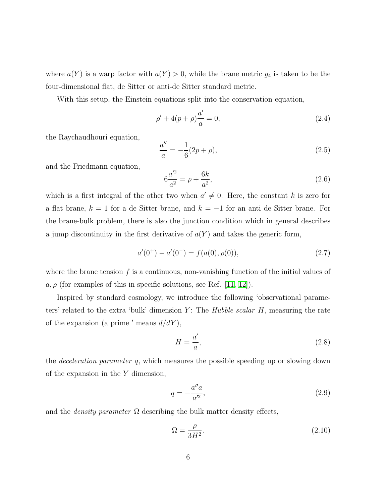where  $a(Y)$  is a warp factor with  $a(Y) > 0$ , while the brane metric  $g_4$  is taken to be the four-dimensional flat, de Sitter or anti-de Sitter standard metric.

With this setup, the Einstein equations split into the conservation equation,

<span id="page-5-3"></span>
$$
\rho' + 4(p + \rho)\frac{a'}{a} = 0,\t\t(2.4)
$$

the Raychaudhouri equation,

$$
\frac{a''}{a} = -\frac{1}{6}(2p + \rho),\tag{2.5}
$$

and the Friedmann equation,

<span id="page-5-0"></span>
$$
6\frac{a'^2}{a^2} = \rho + \frac{6k}{a^2},\tag{2.6}
$$

which is a first integral of the other two when  $a' \neq 0$ . Here, the constant k is zero for a flat brane,  $k = 1$  for a de Sitter brane, and  $k = -1$  for an anti de Sitter brane. For the brane-bulk problem, there is also the junction condition which in general describes a jump discontinuity in the first derivative of  $a(Y)$  and takes the generic form,

<span id="page-5-1"></span>
$$
a'(0^+) - a'(0^-) = f(a(0), \rho(0)), \qquad (2.7)
$$

where the brane tension  $f$  is a continuous, non-vanishing function of the initial values of  $a, \rho$  (for examples of this in specific solutions, see Ref. [\[11,](#page-28-1) [12\]](#page-28-2)).

Inspired by standard cosmology, we introduce the following 'observational parameters' related to the extra 'bulk' dimension  $Y$ : The *Hubble scalar H*, measuring the rate of the expansion (a prime ' means  $d/dY$ ),

$$
H = \frac{a'}{a},\tag{2.8}
$$

the deceleration parameter q, which measures the possible speeding up or slowing down of the expansion in the  $Y$  dimension,

$$
q = -\frac{a''a}{a'^2},\tag{2.9}
$$

and the *density parameter*  $\Omega$  describing the bulk matter density effects,

<span id="page-5-2"></span>
$$
\Omega = \frac{\rho}{3H^2}.\tag{2.10}
$$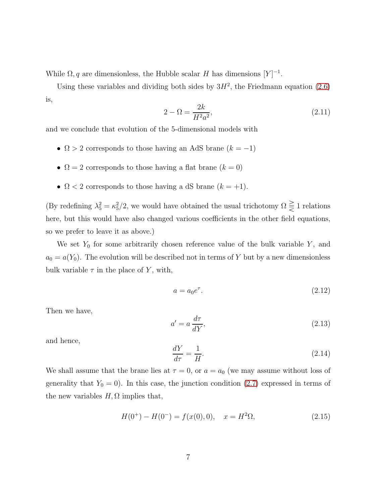While  $\Omega$ , q are dimensionless, the Hubble scalar H has dimensions  $[Y]^{-1}$ .

Using these variables and dividing both sides by  $3H^2$ , the Friedmann equation [\(2.6\)](#page-5-0) is,

<span id="page-6-1"></span>
$$
2 - \Omega = \frac{2k}{H^2 a^2},\tag{2.11}
$$

and we conclude that evolution of the 5-dimensional models with

- $\Omega > 2$  corresponds to those having an AdS brane  $(k = -1)$
- $\Omega = 2$  corresponds to those having a flat brane  $(k = 0)$
- $\Omega$  < 2 corresponds to those having a dS brane  $(k = +1)$ .

(By redefining  $\lambda_5^2 = \kappa_5^2/2$ , we would have obtained the usual trichotomy  $\Omega \leq 1$  relations here, but this would have also changed various coefficients in the other field equations, so we prefer to leave it as above.)

We set  $Y_0$  for some arbitrarily chosen reference value of the bulk variable Y, and  $a_0 = a(Y_0)$ . The evolution will be described not in terms of Y but by a new dimensionless bulk variable  $\tau$  in the place of Y, with,

<span id="page-6-2"></span>
$$
a = a_0 e^{\tau}.
$$
\n<sup>(2.12)</sup>

Then we have,

$$
a' = a \frac{d\tau}{dY},\tag{2.13}
$$

and hence,

<span id="page-6-0"></span>
$$
\frac{dY}{d\tau} = \frac{1}{H}.\tag{2.14}
$$

We shall assume that the brane lies at  $\tau = 0$ , or  $a = a_0$  (we may assume without loss of generality that  $Y_0 = 0$ ). In this case, the junction condition [\(2.7\)](#page-5-1) expressed in terms of the new variables  $H, \Omega$  implies that,

$$
H(0^{+}) - H(0^{-}) = f(x(0), 0), \quad x = H^{2}\Omega,
$$
\n(2.15)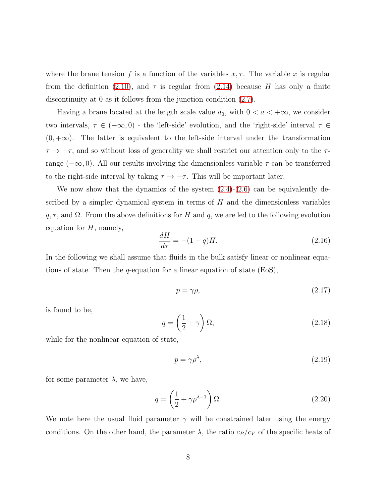where the brane tension f is a function of the variables  $x, \tau$ . The variable x is regular from the definition [\(2.10\)](#page-5-2), and  $\tau$  is regular from [\(2.14\)](#page-6-0) because H has only a finite discontinuity at 0 as it follows from the junction condition [\(2.7\)](#page-5-1).

Having a brane located at the length scale value  $a_0$ , with  $0 < a < +\infty$ , we consider two intervals,  $\tau \in (-\infty, 0)$  - the 'left-side' evolution, and the 'right-side' interval  $\tau \in$  $(0, +\infty)$ . The latter is equivalent to the left-side interval under the transformation  $\tau \to -\tau$ , and so without loss of generality we shall restrict our attention only to the  $\tau$ range ( $-\infty$ , 0). All our results involving the dimensionless variable  $\tau$  can be transferred to the right-side interval by taking  $\tau \to -\tau$ . This will be important later.

We now show that the dynamics of the system  $(2.4)-(2.6)$  $(2.4)-(2.6)$  can be equivalently described by a simpler dynamical system in terms of  $H$  and the dimensionless variables  $q, \tau$ , and  $\Omega$ . From the above definitions for H and q, we are led to the following evolution equation for  $H$ , namely,

$$
\frac{dH}{d\tau} = -(1+q)H.\tag{2.16}
$$

In the following we shall assume that fluids in the bulk satisfy linear or nonlinear equations of state. Then the q-equation for a linear equation of state  $(EsS)$ ,

<span id="page-7-0"></span>
$$
p = \gamma \rho,\tag{2.17}
$$

is found to be,

$$
q = \left(\frac{1}{2} + \gamma\right)\Omega,\tag{2.18}
$$

while for the nonlinear equation of state,

<span id="page-7-1"></span>
$$
p = \gamma \rho^{\lambda},\tag{2.19}
$$

for some parameter  $\lambda$ , we have,

$$
q = \left(\frac{1}{2} + \gamma \rho^{\lambda - 1}\right) \Omega. \tag{2.20}
$$

We note here the usual fluid parameter  $\gamma$  will be constrained later using the energy conditions. On the other hand, the parameter  $\lambda$ , the ratio  $c_P/c_V$  of the specific heats of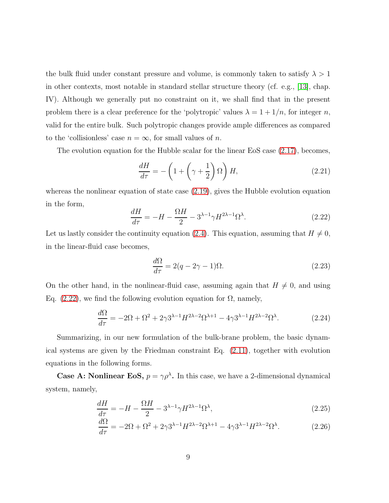the bulk fluid under constant pressure and volume, is commonly taken to satisfy  $\lambda > 1$ in other contexts, most notable in standard stellar structure theory (cf. e.g., [\[13\]](#page-28-3), chap. IV). Although we generally put no constraint on it, we shall find that in the present problem there is a clear preference for the 'polytropic' values  $\lambda = 1 + 1/n$ , for integer n, valid for the entire bulk. Such polytropic changes provide ample differences as compared to the 'collisionless' case  $n = \infty$ , for small values of n.

The evolution equation for the Hubble scalar for the linear EoS case [\(2.17\)](#page-7-0), becomes,

$$
\frac{dH}{d\tau} = -\left(1 + \left(\gamma + \frac{1}{2}\right)\Omega\right)H,\tag{2.21}
$$

whereas the nonlinear equation of state case  $(2.19)$ , gives the Hubble evolution equation in the form,

<span id="page-8-0"></span>
$$
\frac{dH}{d\tau} = -H - \frac{\Omega H}{2} - 3^{\lambda - 1} \gamma H^{2\lambda - 1} \Omega^{\lambda}.
$$
\n(2.22)

Let us lastly consider the continuity equation [\(2.4\)](#page-5-3). This equation, assuming that  $H \neq 0$ , in the linear-fluid case becomes,

<span id="page-8-1"></span>
$$
\frac{d\Omega}{d\tau} = 2(q - 2\gamma - 1)\Omega.
$$
\n(2.23)

On the other hand, in the nonlinear-fluid case, assuming again that  $H \neq 0$ , and using Eq.  $(2.22)$ , we find the following evolution equation for  $\Omega$ , namely,

$$
\frac{d\Omega}{d\tau} = -2\Omega + \Omega^2 + 2\gamma 3^{\lambda - 1} H^{2\lambda - 2} \Omega^{\lambda + 1} - 4\gamma 3^{\lambda - 1} H^{2\lambda - 2} \Omega^{\lambda}.
$$
 (2.24)

Summarizing, in our new formulation of the bulk-brane problem, the basic dynamical systems are given by the Friedman constraint Eq. [\(2.11\)](#page-6-1), together with evolution equations in the following forms.

**Case A: Nonlinear EoS,**  $p = \gamma \rho^{\lambda}$ . In this case, we have a 2-dimensional dynamical system, namely,

$$
\frac{dH}{d\tau} = -H - \frac{\Omega H}{2} - 3^{\lambda - 1} \gamma H^{2\lambda - 1} \Omega^{\lambda},\tag{2.25}
$$

<span id="page-8-2"></span>
$$
\frac{d\Omega}{d\tau} = -2\Omega + \Omega^2 + 2\gamma 3^{\lambda - 1} H^{2\lambda - 2} \Omega^{\lambda + 1} - 4\gamma 3^{\lambda - 1} H^{2\lambda - 2} \Omega^{\lambda}.
$$
 (2.26)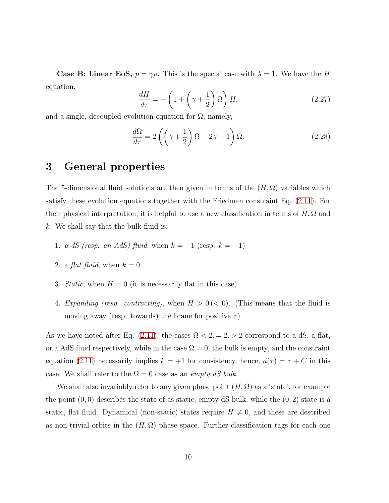**Case B: Linear EoS,**  $p = \gamma \rho$ . This is the special case with  $\lambda = 1$ . We have the H equation,

<span id="page-9-1"></span>
$$
\frac{dH}{d\tau} = -\left(1 + \left(\gamma + \frac{1}{2}\right)\Omega\right)H,\tag{2.27}
$$

and a single, decoupled evolution equation for  $\Omega$ , namely,

<span id="page-9-2"></span>
$$
\frac{d\Omega}{d\tau} = 2\left(\left(\gamma + \frac{1}{2}\right)\Omega - 2\gamma - 1\right)\Omega.
$$
\n(2.28)

## <span id="page-9-0"></span>3 General properties

The 5-dimensional fluid solutions are then given in terms of the  $(H, \Omega)$  variables which satisfy these evolution equations together with the Friedman constraint Eq. [\(2.11\)](#page-6-1). For their physical interpretation, it is helpful to use a new classification in terms of  $H, \Omega$  and k. We shall say that the bulk fluid is:

- 1. a dS (resp. an AdS) fluid, when  $k = +1$  (resp.  $k = -1$ )
- 2. a *flat fluid*, when  $k = 0$ .
- 3. Static, when  $H = 0$  (it is necessarily flat in this case).
- 4. Expanding (resp. contracting), when  $H > 0 \, (< 0$ ). (This means that the fluid is moving away (resp. towards) the brane for positive  $\tau$ )

As we have noted after Eq. [\(2.11\)](#page-6-1), the cases  $\Omega < 2$ ,  $= 2$ ,  $> 2$  correspond to a dS, a flat, or a AdS fluid respectively, while in the case  $\Omega = 0$ , the bulk is empty, and the constraint equation [\(2.11\)](#page-6-1) necessarily implies  $k = +1$  for consistency, hence,  $a(\tau) = \tau + C$  in this case. We shall refer to the  $\Omega = 0$  case as an *empty dS bulk.* 

We shall also invariably refer to any given phase point  $(H, \Omega)$  as a 'state', for example the point  $(0, 0)$  describes the state of as static, empty dS bulk, while the  $(0, 2)$  state is a static, flat fluid. Dynamical (non-static) states require  $H \neq 0$ , and these are described as non-trivial orbits in the  $(H, \Omega)$  phase space. Further classification tags for each one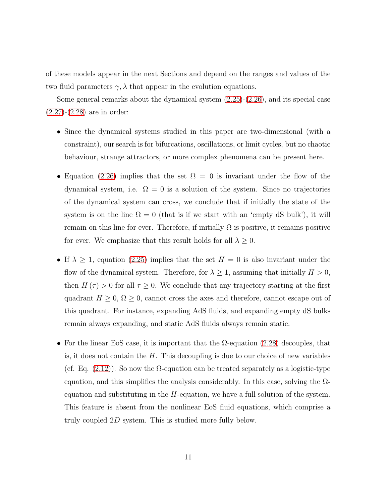of these models appear in the next Sections and depend on the ranges and values of the two fluid parameters  $\gamma$ ,  $\lambda$  that appear in the evolution equations.

Some general remarks about the dynamical system [\(2.25\)](#page-8-1)-[\(2.26\)](#page-8-2), and its special case [\(2.27\)](#page-9-1)-[\(2.28\)](#page-9-2) are in order:

- Since the dynamical systems studied in this paper are two-dimensional (with a constraint), our search is for bifurcations, oscillations, or limit cycles, but no chaotic behaviour, strange attractors, or more complex phenomena can be present here.
- Equation [\(2.26\)](#page-8-2) implies that the set  $\Omega = 0$  is invariant under the flow of the dynamical system, i.e.  $\Omega = 0$  is a solution of the system. Since no trajectories of the dynamical system can cross, we conclude that if initially the state of the system is on the line  $\Omega = 0$  (that is if we start with an 'empty dS bulk'), it will remain on this line for ever. Therefore, if initially  $\Omega$  is positive, it remains positive for ever. We emphasize that this result holds for all  $\lambda \geq 0$ .
- If  $\lambda \geq 1$ , equation [\(2.25\)](#page-8-1) implies that the set  $H = 0$  is also invariant under the flow of the dynamical system. Therefore, for  $\lambda \geq 1$ , assuming that initially  $H > 0$ , then  $H(\tau) > 0$  for all  $\tau \geq 0$ . We conclude that any trajectory starting at the first quadrant  $H \geq 0$ ,  $\Omega \geq 0$ , cannot cross the axes and therefore, cannot escape out of this quadrant. For instance, expanding AdS fluids, and expanding empty dS bulks remain always expanding, and static AdS fluids always remain static.
- For the linear EoS case, it is important that the  $\Omega$ -equation [\(2.28\)](#page-9-2) decouples, that is, it does not contain the  $H$ . This decoupling is due to our choice of new variables (cf. Eq.  $(2.12)$ ). So now the  $\Omega$ -equation can be treated separately as a logistic-type equation, and this simplifies the analysis considerably. In this case, solving the  $\Omega$ equation and substituting in the  $H$ -equation, we have a full solution of the system. This feature is absent from the nonlinear EoS fluid equations, which comprise a truly coupled 2D system. This is studied more fully below.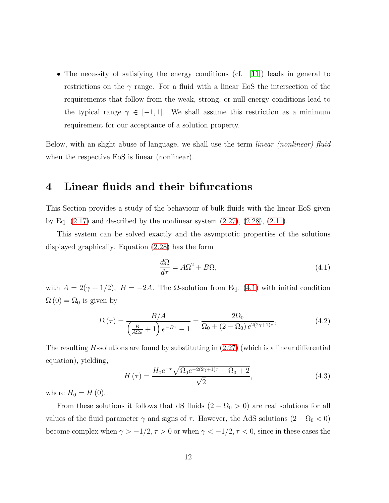• The necessity of satisfying the energy conditions (cf. [\[11\]](#page-28-1)) leads in general to restrictions on the  $\gamma$  range. For a fluid with a linear EoS the intersection of the requirements that follow from the weak, strong, or null energy conditions lead to the typical range  $\gamma \in [-1, 1]$ . We shall assume this restriction as a minimum requirement for our acceptance of a solution property.

<span id="page-11-0"></span>Below, with an slight abuse of language, we shall use the term *linear (nonlinear)* fluid when the respective EoS is linear (nonlinear).

#### 4 Linear fluids and their bifurcations

This Section provides a study of the behaviour of bulk fluids with the linear EoS given by Eq.  $(2.17)$  and described by the nonlinear system  $(2.27)$ ,  $(2.28)$ ,  $(2.11)$ .

This system can be solved exactly and the asymptotic properties of the solutions displayed graphically. Equation [\(2.28\)](#page-9-2) has the form

<span id="page-11-1"></span>
$$
\frac{d\Omega}{d\tau} = A\Omega^2 + B\Omega,
$$
\n(4.1)

with  $A = 2(\gamma + 1/2)$ ,  $B = -2A$ . The  $\Omega$ -solution from Eq. [\(4.1\)](#page-11-1) with initial condition  $\Omega(0) = \Omega_0$  is given by

<span id="page-11-3"></span>
$$
\Omega(\tau) = \frac{B/A}{\left(\frac{B}{A\Omega_0} + 1\right)e^{-B\tau} - 1} = \frac{2\Omega_0}{\Omega_0 + (2 - \Omega_0)e^{2(2\gamma + 1)\tau}},\tag{4.2}
$$

The resulting  $H$ -solutions are found by substituting in  $(2.27)$  (which is a linear differential equation), yielding,

<span id="page-11-2"></span>
$$
H(\tau) = \frac{H_0 e^{-\tau} \sqrt{\Omega_0 e^{-2(2\gamma + 1)\tau} - \Omega_0 + 2}}{\sqrt{2}},
$$
\n(4.3)

where  $H_0 = H(0)$ .

From these solutions it follows that dS fluids  $(2 - \Omega_0 > 0)$  are real solutions for all values of the fluid parameter  $\gamma$  and signs of  $\tau$ . However, the AdS solutions  $(2 - \Omega_0 < 0)$ become complex when  $\gamma > -1/2, \tau > 0$  or when  $\gamma < -1/2, \tau < 0$ , since in these cases the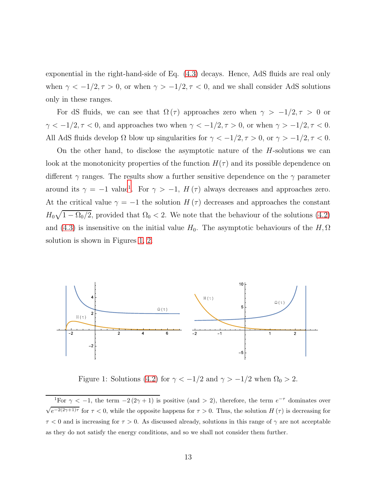exponential in the right-hand-side of Eq. [\(4.3\)](#page-11-2) decays. Hence, AdS fluids are real only when  $\gamma < -1/2, \tau > 0$ , or when  $\gamma > -1/2, \tau < 0$ , and we shall consider AdS solutions only in these ranges.

For dS fluids, we can see that  $\Omega(\tau)$  approaches zero when  $\gamma > -1/2, \tau > 0$  or  $\gamma<-1/2, \tau<0,$  and approaches two when  $\gamma<-1/2, \tau>0,$  or when  $\gamma>-1/2, \tau<0.$ All AdS fluids develop  $\Omega$  blow up singularities for  $\gamma < -1/2, \tau > 0$ , or  $\gamma > -1/2, \tau < 0$ .

On the other hand, to disclose the asymptotic nature of the H-solutions we can look at the monotonicity properties of the function  $H(\tau)$  and its possible dependence on different  $\gamma$  ranges. The results show a further sensitive dependence on the  $\gamma$  parameter around its  $\gamma = -1$  $\gamma = -1$  value<sup>1</sup>. For  $\gamma > -1$ ,  $H(\tau)$  always decreases and approaches zero. At the critical value  $\gamma = -1$  the solution  $H(\tau)$  decreases and approaches the constant  $H_0\sqrt{1-\Omega_0/2}$ , provided that  $\Omega_0 < 2$ . We note that the behaviour of the solutions [\(4.2\)](#page-11-3) and [\(4.3\)](#page-11-2) is insensitive on the initial value  $H_0$ . The asymptotic behaviours of the  $H, \Omega$ solution is shown in Figures [1,](#page-12-1) [2.](#page-13-0)



<span id="page-12-1"></span>Figure 1: Solutions [\(4.2\)](#page-11-3) for  $\gamma < -1/2$  and  $\gamma > -1/2$  when  $\Omega_0 > 2$ .

<span id="page-12-0"></span><sup>&</sup>lt;sup>1</sup>For  $\gamma$  < -1, the term -2(2 $\gamma$  + 1) is positive (and > 2), therefore, the term  $e^{-\tau}$  dominates over  $\sqrt{e^{-2(2\gamma+1)\tau}}$  for  $\tau < 0$ , while the opposite happens for  $\tau > 0$ . Thus, the solution  $H(\tau)$  is decreasing for  $\tau$  < 0 and is increasing for  $\tau > 0$ . As discussed already, solutions in this range of  $\gamma$  are not acceptable as they do not satisfy the energy conditions, and so we shall not consider them further.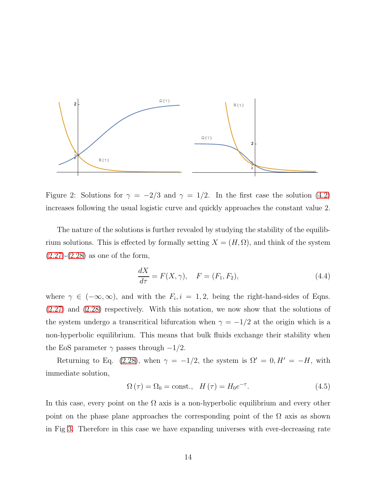

<span id="page-13-0"></span>Figure 2: Solutions for  $\gamma = -2/3$  and  $\gamma = 1/2$ . In the first case the solution [\(4.2\)](#page-11-3) increases following the usual logistic curve and quickly approaches the constant value 2.

The nature of the solutions is further revealed by studying the stability of the equilibrium solutions. This is effected by formally setting  $X = (H, \Omega)$ , and think of the system  $(2.27)-(2.28)$  $(2.27)-(2.28)$  $(2.27)-(2.28)$  as one of the form,

$$
\frac{dX}{d\tau} = F(X, \gamma), \quad F = (F_1, F_2), \tag{4.4}
$$

where  $\gamma \in (-\infty, \infty)$ , and with the  $F_i$ ,  $i = 1, 2$ , being the right-hand-sides of Eqns. [\(2.27\)](#page-9-1) and [\(2.28\)](#page-9-2) respectively. With this notation, we now show that the solutions of the system undergo a transcritical bifurcation when  $\gamma = -1/2$  at the origin which is a non-hyperbolic equilibrium. This means that bulk fluids exchange their stability when the EoS parameter  $\gamma$  passes through  $-1/2$ .

Returning to Eq. [\(2.28\)](#page-9-2), when  $\gamma = -1/2$ , the system is  $\Omega' = 0, H' = -H$ , with immediate solution,

<span id="page-13-1"></span>
$$
\Omega\left(\tau\right) = \Omega_0 = \text{const.}, \quad H\left(\tau\right) = H_0 e^{-\tau}.\tag{4.5}
$$

In this case, every point on the  $\Omega$  axis is a non-hyperbolic equilibrium and every other point on the phase plane approaches the corresponding point of the  $\Omega$  axis as shown in Fig [3.](#page-14-0) Therefore in this case we have expanding universes with ever-decreasing rate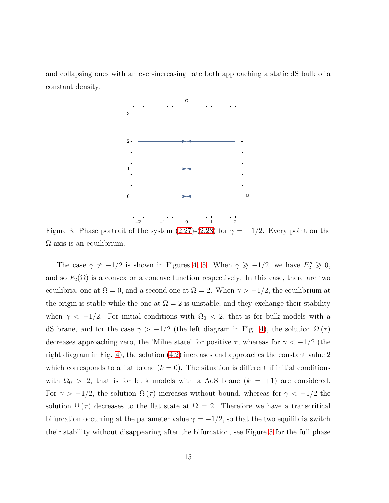and collapsing ones with an ever-increasing rate both approaching a static dS bulk of a constant density.



<span id="page-14-0"></span>Figure 3: Phase portrait of the system  $(2.27)-(2.28)$  $(2.27)-(2.28)$  for  $\gamma = -1/2$ . Every point on the  $\Omega$  axis is an equilibrium.

The case  $\gamma \neq -1/2$  is shown in Figures [4,](#page-15-0) [5.](#page-16-1) When  $\gamma \geq -1/2$ , we have  $F_2'' \geq 0$ , and so  $F_2(\Omega)$  is a convex or a concave function respectively. In this case, there are two equilibria, one at  $\Omega = 0$ , and a second one at  $\Omega = 2$ . When  $\gamma > -1/2$ , the equilibrium at the origin is stable while the one at  $\Omega = 2$  is unstable, and they exchange their stability when  $\gamma$  < -1/2. For initial conditions with  $\Omega_0$  < 2, that is for bulk models with a dS brane, and for the case  $\gamma > -1/2$  (the left diagram in Fig. [4\)](#page-15-0), the solution  $\Omega(\tau)$ decreases approaching zero, the 'Milne state' for positive  $\tau$ , whereas for  $\gamma < -1/2$  (the right diagram in Fig. [4\)](#page-15-0), the solution [\(4.2\)](#page-11-3) increases and approaches the constant value 2 which corresponds to a flat brane  $(k = 0)$ . The situation is different if initial conditions with  $\Omega_0 > 2$ , that is for bulk models with a AdS brane  $(k = +1)$  are considered. For  $\gamma > -1/2$ , the solution  $\Omega(\tau)$  increases without bound, whereas for  $\gamma < -1/2$  the solution  $\Omega(\tau)$  decreases to the flat state at  $\Omega = 2$ . Therefore we have a transcritical bifurcation occurring at the parameter value  $\gamma = -1/2$ , so that the two equilibria switch their stability without disappearing after the bifurcation, see Figure [5](#page-16-1) for the full phase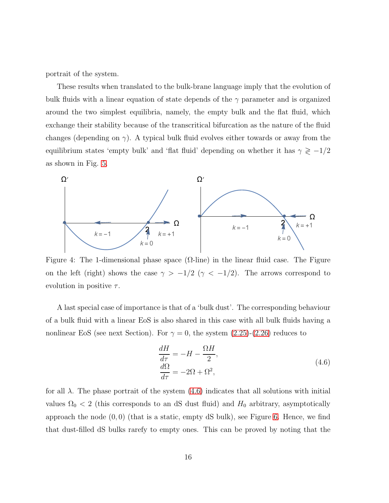portrait of the system.

These results when translated to the bulk-brane language imply that the evolution of bulk fluids with a linear equation of state depends of the  $\gamma$  parameter and is organized around the two simplest equilibria, namely, the empty bulk and the flat fluid, which exchange their stability because of the transcritical bifurcation as the nature of the fluid changes (depending on  $\gamma$ ). A typical bulk fluid evolves either towards or away from the equilibrium states 'empty bulk' and 'flat fluid' depending on whether it has  $\gamma \gtrless -1/2$ as shown in Fig. [5.](#page-16-1)



<span id="page-15-0"></span>Figure 4: The 1-dimensional phase space  $(\Omega$ -line) in the linear fluid case. The Figure on the left (right) shows the case  $\gamma$  > -1/2 ( $\gamma$  < -1/2). The arrows correspond to evolution in positive  $\tau$ .

A last special case of importance is that of a 'bulk dust'. The corresponding behaviour of a bulk fluid with a linear EoS is also shared in this case with all bulk fluids having a nonlinear EoS (see next Section). For  $\gamma = 0$ , the system  $(2.25)-(2.26)$  $(2.25)-(2.26)$  reduces to

<span id="page-15-1"></span>
$$
\frac{dH}{d\tau} = -H - \frac{\Omega H}{2},
$$
\n
$$
\frac{d\Omega}{d\tau} = -2\Omega + \Omega^2,
$$
\n(4.6)

for all  $\lambda$ . The phase portrait of the system  $(4.6)$  indicates that all solutions with initial values  $\Omega_0 < 2$  (this corresponds to an dS dust fluid) and  $H_0$  arbitrary, asymptotically approach the node  $(0, 0)$  (that is a static, empty dS bulk), see Figure [6.](#page-17-0) Hence, we find that dust-filled dS bulks rarefy to empty ones. This can be proved by noting that the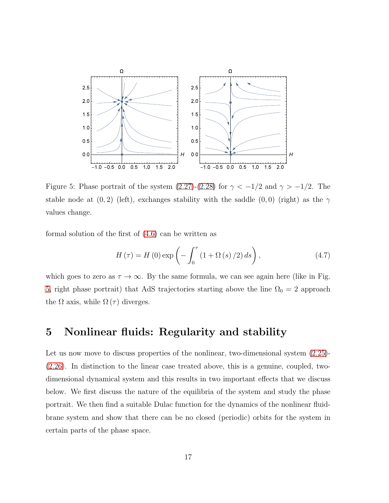

<span id="page-16-1"></span>Figure 5: Phase portrait of the system [\(2.27\)](#page-9-1)-[\(2.28\)](#page-9-2) for  $\gamma < -1/2$  and  $\gamma > -1/2$ . The stable node at  $(0, 2)$  (left), exchanges stability with the saddle  $(0, 0)$  (right) as the  $\gamma$ values change.

formal solution of the first of [\(4.6\)](#page-15-1) can be written as

$$
H\left(\tau\right) = H\left(0\right)\exp\left(-\int_0^\tau \left(1 + \Omega\left(s\right)/2\right)ds\right),\tag{4.7}
$$

which goes to zero as  $\tau \to \infty$ . By the same formula, we can see again here (like in Fig. [5,](#page-16-1) right phase portrait) that AdS trajectories starting above the line  $\Omega_0 = 2$  approach the  $\Omega$  axis, while  $\Omega(\tau)$  diverges.

#### <span id="page-16-0"></span>5 Nonlinear fluids: Regularity and stability

Let us now move to discuss properties of the nonlinear, two-dimensional system  $(2.25)$ -[\(2.26\)](#page-8-2). In distinction to the linear case treated above, this is a genuine, coupled, twodimensional dynamical system and this results in two important effects that we discuss below. We first discuss the nature of the equilibria of the system and study the phase portrait. We then find a suitable Dulac function for the dynamics of the nonlinear fluidbrane system and show that there can be no closed (periodic) orbits for the system in certain parts of the phase space.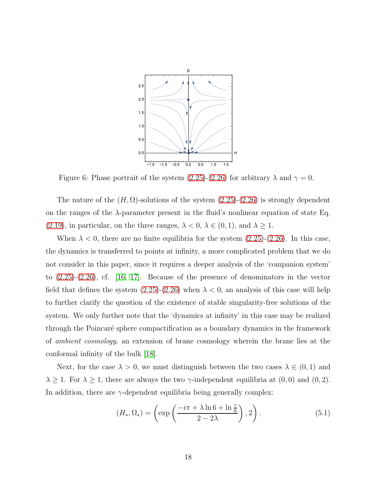

<span id="page-17-0"></span>Figure 6: Phase portrait of the system [\(2.25\)](#page-8-1)-[\(2.26\)](#page-8-2) for arbitrary  $\lambda$  and  $\gamma = 0$ .

The nature of the  $(H, \Omega)$ -solutions of the system  $(2.25)-(2.26)$  $(2.25)-(2.26)$  is strongly dependent on the ranges of the  $\lambda$ -parameter present in the fluid's nonlinear equation of state Eq. [\(2.19\)](#page-7-1), in particular, on the three ranges,  $\lambda < 0$ ,  $\lambda \in (0, 1)$ , and  $\lambda \ge 1$ .

When  $\lambda < 0$ , there are no finite equilibria for the system  $(2.25)-(2.26)$  $(2.25)-(2.26)$ . In this case, the dynamics is transferred to points at infinity, a more complicated problem that we do not consider in this paper, since it requires a deeper analysis of the 'companion system' to [\(2.25\)](#page-8-1)-[\(2.26\)](#page-8-2), cf. [\[16,](#page-28-4) [17\]](#page-28-5). Because of the presence of denominators in the vector field that defines the system  $(2.25)-(2.26)$  $(2.25)-(2.26)$  when  $\lambda < 0$ , an analysis of this case will help to further clarify the question of the existence of stable singularity-free solutions of the system. We only further note that the 'dynamics at infinity' in this case may be realized through the Poincar´e sphere compactification as a boundary dynamics in the framework of ambient cosmology, an extension of brane cosmology wherein the brane lies at the conformal infinity of the bulk [\[18\]](#page-29-0).

Next, for the case  $\lambda > 0$ , we must distinguish between the two cases  $\lambda \in (0,1)$  and  $\lambda \geq 1$ . For  $\lambda \geq 1$ , there are always the two  $\gamma$ -independent equilibria at  $(0,0)$  and  $(0,2)$ . In addition, there are  $\gamma$ -dependent equilibria being generally complex:

<span id="page-17-1"></span>
$$
(H_*, \Omega_*) = \left(\exp\left(\frac{-i\pi + \lambda \ln 6 + \ln \frac{\gamma}{6}}{2 - 2\lambda}\right), 2\right). \tag{5.1}
$$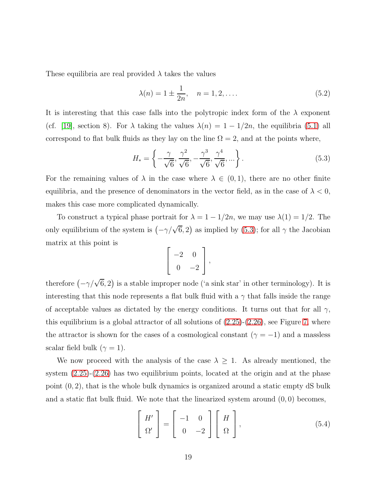These equilibria are real provided  $\lambda$  takes the values

<span id="page-18-2"></span>
$$
\lambda(n) = 1 \pm \frac{1}{2n}, \quad n = 1, 2, ....
$$
\n(5.2)

It is interesting that this case falls into the polytropic index form of the  $\lambda$  exponent (cf. [\[19\]](#page-29-1), section 8). For  $\lambda$  taking the values  $\lambda(n) = 1 - 1/2n$ , the equilibria [\(5.1\)](#page-17-1) all correspond to flat bulk fluids as they lay on the line  $\Omega = 2$ , and at the points where,

<span id="page-18-0"></span>
$$
H_* = \left\{ -\frac{\gamma}{\sqrt{6}}, \frac{\gamma^2}{\sqrt{6}}, -\frac{\gamma^3}{\sqrt{6}}, \frac{\gamma^4}{\sqrt{6}}, \dots \right\}.
$$
 (5.3)

For the remaining values of  $\lambda$  in the case where  $\lambda \in (0,1)$ , there are no other finite equilibria, and the presence of denominators in the vector field, as in the case of  $\lambda < 0$ , makes this case more complicated dynamically.

To construct a typical phase portrait for  $\lambda = 1 - 1/2n$ , we may use  $\lambda(1) = 1/2$ . The only equilibrium of the system is  $(-\gamma/\sqrt{6}, 2)$  as implied by [\(5.3\)](#page-18-0); for all  $\gamma$  the Jacobian matrix at this point is

$$
\left[\begin{array}{cc} -2 & 0 \\ 0 & -2 \end{array}\right],
$$

therefore  $(-\gamma/\sqrt{6}, 2)$  is a stable improper node ('a sink star' in other terminology). It is interesting that this node represents a flat bulk fluid with a  $\gamma$  that falls inside the range of acceptable values as dictated by the energy conditions. It turns out that for all  $\gamma$ , this equilibrium is a global attractor of all solutions of  $(2.25)-(2.26)$  $(2.25)-(2.26)$ , see Figure [7,](#page-19-0) where the attractor is shown for the cases of a cosmological constant ( $\gamma = -1$ ) and a massless scalar field bulk ( $\gamma = 1$ ).

We now proceed with the analysis of the case  $\lambda \geq 1$ . As already mentioned, the system [\(2.25\)](#page-8-1)-[\(2.26\)](#page-8-2) has two equilibrium points, located at the origin and at the phase point  $(0, 2)$ , that is the whole bulk dynamics is organized around a static empty  $\mathrm{dS}$  bulk and a static flat bulk fluid. We note that the linearized system around  $(0, 0)$  becomes,

<span id="page-18-1"></span>
$$
\begin{bmatrix} H' \\ \Omega' \end{bmatrix} = \begin{bmatrix} -1 & 0 \\ 0 & -2 \end{bmatrix} \begin{bmatrix} H \\ \Omega \end{bmatrix},
$$
\n(5.4)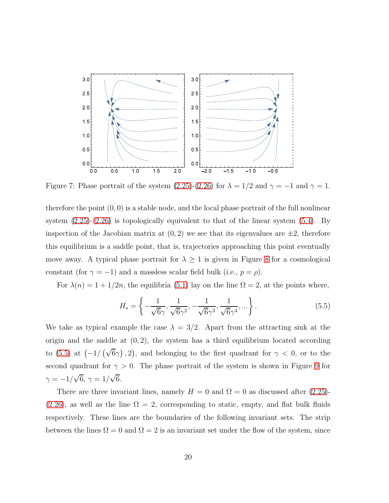

<span id="page-19-0"></span>Figure 7: Phase portrait of the system [\(2.25\)](#page-8-1)-[\(2.26\)](#page-8-2) for  $\lambda = 1/2$  and  $\gamma = -1$  and  $\gamma = 1$ .

therefore the point  $(0, 0)$  is a stable node, and the local phase portrait of the full nonlinear system  $(2.25)-(2.26)$  $(2.25)-(2.26)$  is topologically equivalent to that of the linear system  $(5.4)$ . By inspection of the Jacobian matrix at  $(0, 2)$  we see that its eigenvalues are  $\pm 2$ , therefore this equilibrium is a saddle point, that is, trajectories approaching this point eventually move away. A typical phase portrait for  $\lambda \geq 1$  is given in Figure [8](#page-20-0) for a cosmological constant (for  $\gamma = -1$ ) and a massless scalar field bulk (i.e.,  $p = \rho$ ).

For  $\lambda(n) = 1 + 1/2n$ , the equilibria [\(5.1\)](#page-17-1) lay on the line  $\Omega = 2$ , at the points where,

<span id="page-19-1"></span>
$$
H_* = \left\{ -\frac{1}{\sqrt{6}\gamma}, \frac{1}{\sqrt{6}\gamma^2}, -\frac{1}{\sqrt{6}\gamma^3}, \frac{1}{\sqrt{6}\gamma^4}, \dots \right\}.
$$
 (5.5)

We take as typical example the case  $\lambda = 3/2$ . Apart from the attracting sink at the origin and the saddle at  $(0, 2)$ , the system has a third equilibrium located according to [\(5.5\)](#page-19-1) at  $(-1/(\sqrt{6}\gamma), 2)$ , and belonging to the first quadrant for  $\gamma < 0$ , or to the second quadrant for  $\gamma > 0$ . The phase portrait of the system is shown in Figure [9](#page-21-0) for  $\gamma = -1/\sqrt{6}, \, \gamma = 1/\sqrt{6}.$ 

There are three invariant lines, namely  $H = 0$  and  $\Omega = 0$  as discussed after [\(2.25\)](#page-8-1)-[\(2.26\)](#page-8-2), as well as the line  $\Omega = 2$ , corresponding to static, empty, and flat bulk fluids respectively. These lines are the boundaries of the following invariant sets. The strip between the lines  $\Omega = 0$  and  $\Omega = 2$  is an invariant set under the flow of the system, since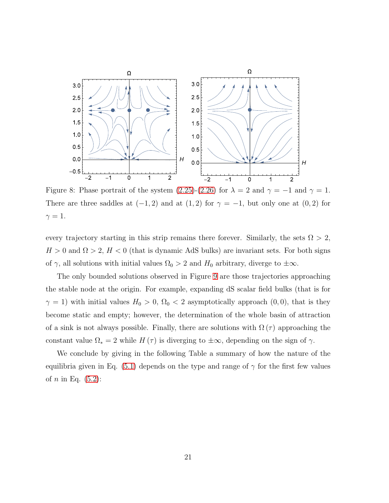

<span id="page-20-0"></span>Figure 8: Phase portrait of the system [\(2.25\)](#page-8-1)-[\(2.26\)](#page-8-2) for  $\lambda = 2$  and  $\gamma = -1$  and  $\gamma = 1$ . There are three saddles at  $(-1, 2)$  and at  $(1, 2)$  for  $\gamma = -1$ , but only one at  $(0, 2)$  for  $\gamma=1.$ 

every trajectory starting in this strip remains there forever. Similarly, the sets  $\Omega > 2$ ,  $H > 0$  and  $\Omega > 2$ ,  $H < 0$  (that is dynamic AdS bulks) are invariant sets. For both signs of  $\gamma$ , all solutions with initial values  $\Omega_0 > 2$  and  $H_0$  arbitrary, diverge to  $\pm \infty$ .

The only bounded solutions observed in Figure [9](#page-21-0) are those trajectories approaching the stable node at the origin. For example, expanding dS scalar field bulks (that is for  $\gamma = 1$ ) with initial values  $H_0 > 0$ ,  $\Omega_0 < 2$  asymptotically approach  $(0, 0)$ , that is they become static and empty; however, the determination of the whole basin of attraction of a sink is not always possible. Finally, there are solutions with  $\Omega(\tau)$  approaching the constant value  $\Omega_* = 2$  while  $H(\tau)$  is diverging to  $\pm \infty$ , depending on the sign of  $\gamma$ .

We conclude by giving in the following Table a summary of how the nature of the equilibria given in Eq. [\(5.1\)](#page-17-1) depends on the type and range of  $\gamma$  for the first few values of *n* in Eq.  $(5.2)$ :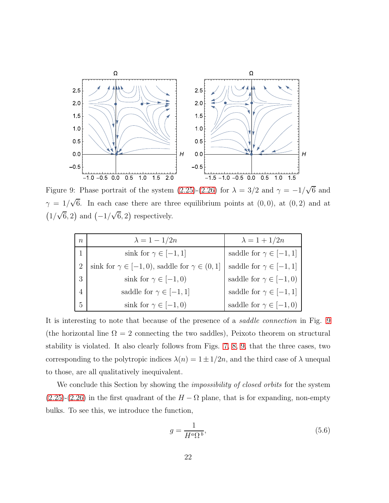

<span id="page-21-0"></span>Figure 9: Phase portrait of the system [\(2.25\)](#page-8-1)-[\(2.26\)](#page-8-2) for  $\lambda = 3/2$  and  $\gamma = -1/\sqrt{6}$  and  $\gamma = 1/\sqrt{6}$ . In each case there are three equilibrium points at  $(0,0)$ , at  $(0,2)$  and at  $(1/\sqrt{6}, 2)$  and  $(-1/\sqrt{6}, 2)$  respectively.

| n | $\lambda = 1 - 1/2n$                                         | $\lambda = 1 + 1/2n$            |
|---|--------------------------------------------------------------|---------------------------------|
|   | sink for $\gamma \in [-1,1]$                                 | saddle for $\gamma \in [-1, 1]$ |
| 2 | sink for $\gamma \in [-1,0)$ , saddle for $\gamma \in (0,1]$ | saddle for $\gamma \in [-1, 1]$ |
| 3 | sink for $\gamma \in [-1,0)$                                 | saddle for $\gamma \in [-1,0)$  |
|   | saddle for $\gamma \in [-1, 1]$                              | saddle for $\gamma \in [-1, 1]$ |
|   | sink for $\gamma \in [-1,0)$                                 | saddle for $\gamma \in [-1,0)$  |

It is interesting to note that because of the presence of a saddle connection in Fig. [9](#page-21-0) (the horizontal line  $\Omega = 2$  connecting the two saddles), Peixoto theorem on structural stability is violated. It also clearly follows from Figs. [7,](#page-19-0) [8,](#page-20-0) [9,](#page-21-0) that the three cases, two corresponding to the polytropic indices  $\lambda(n) = 1 \pm 1/2n$ , and the third case of  $\lambda$  unequal to those, are all qualitatively inequivalent.

We conclude this Section by showing the *impossibility of closed orbits* for the system  $(2.25)-(2.26)$  $(2.25)-(2.26)$  $(2.25)-(2.26)$  in the first quadrant of the  $H - \Omega$  plane, that is for expanding, non-empty bulks. To see this, we introduce the function,

<span id="page-21-1"></span>
$$
g = \frac{1}{H^a \Omega^b},\tag{5.6}
$$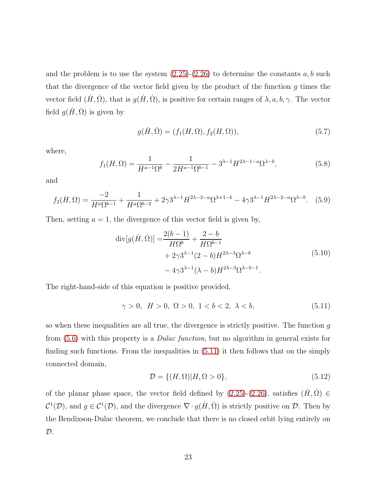and the problem is to use the system  $(2.25)-(2.26)$  $(2.25)-(2.26)$  to determine the constants a, b such that the divergence of the vector field given by the product of the function  $g$  times the vector field  $(H, \Omega)$ , that is  $g(H, \Omega)$ , is positive for certain ranges of  $\lambda$ , a, b,  $\gamma$ . The vector field  $g(\dot{H}, \dot{\Omega})$  is given by

$$
g(\dot{H}, \dot{\Omega}) = (f_1(H, \Omega), f_2(H, \Omega)),
$$
\n(5.7)

where,

$$
f_1(H, \Omega) = \frac{1}{H^{a-1}\Omega^b} - \frac{1}{2H^{a-1}\Omega^{b-1}} - 3^{\lambda - 1}H^{2\lambda - 1 - a}\Omega^{\lambda - b},\tag{5.8}
$$

and

$$
f_2(H,\Omega) = \frac{-2}{H^a \Omega^{b-1}} + \frac{1}{H^a \Omega^{b-2}} + 2\gamma 3^{\lambda - 1} H^{2\lambda - 2 - a} \Omega^{\lambda + 1 - b} - 4\gamma 3^{\lambda - 1} H^{2\lambda - 2 - a} \Omega^{\lambda - b}.
$$
 (5.9)

Then, setting  $a = 1$ , the divergence of this vector field is given by,

$$
\operatorname{div}[g(\dot{H}, \dot{\Omega})] = \frac{2(b-1)}{H\Omega^b} + \frac{2-b}{H\Omega^{b-1}} + 2\gamma 3^{\lambda - 1} (2-b) H^{2\lambda - 3} \Omega^{\lambda - b} - 4\gamma 3^{\lambda - 1} (\lambda - b) H^{2\lambda - 3} \Omega^{\lambda - b - 1}.
$$
\n(5.10)

The right-hand-side of this equation is positive provided,

<span id="page-22-0"></span>
$$
\gamma > 0, \ H > 0, \ \Omega > 0, \ 1 < b < 2, \ \lambda < b,
$$
\n
$$
(5.11)
$$

so when these inequalities are all true, the divergence is strictly positive. The function  $q$ from [\(5.6\)](#page-21-1) with this property is a Dulac function, but no algorithm in general exists for finding such functions. From the inequalities in [\(5.11\)](#page-22-0) it then follows that on the simply connected domain,

$$
\mathcal{D} = \{ (H, \Omega) | H, \Omega > 0 \},\tag{5.12}
$$

of the planar phase space, the vector field defined by  $(2.25)-(2.26)$  $(2.25)-(2.26)$ , satisfies  $(H, \Omega) \in$  $C^1(\mathcal{D})$ , and  $g \in C^1(\mathcal{D})$ , and the divergence  $\nabla \cdot g(\dot{H}, \dot{\Omega})$  is strictly positive on  $\mathcal{D}$ . Then by the Bendixson-Dulac theorem, we conclude that there is no closed orbit lying entirely on  $\mathcal{D}.$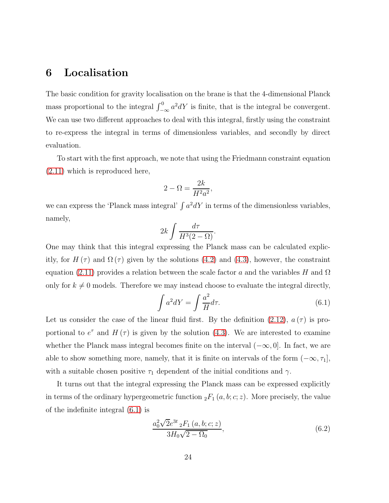#### <span id="page-23-0"></span>6 Localisation

The basic condition for gravity localisation on the brane is that the 4-dimensional Planck mass proportional to the integral  $\int_{-\infty}^{0} a^2 dY$  is finite, that is the integral be convergent. We can use two different approaches to deal with this integral, firstly using the constraint to re-express the integral in terms of dimensionless variables, and secondly by direct evaluation.

To start with the first approach, we note that using the Friedmann constraint equation [\(2.11\)](#page-6-1) which is reproduced here,

$$
2 - \Omega = \frac{2k}{H^2 a^2},
$$

we can express the 'Planck mass integral'  $\int a^2 dY$  in terms of the dimensionless variables, namely,

$$
2k \int \frac{d\tau}{H^3(2-\Omega)}.
$$

One may think that this integral expressing the Planck mass can be calculated explicitly, for  $H(\tau)$  and  $\Omega(\tau)$  given by the solutions [\(4.2\)](#page-11-3) and [\(4.3\)](#page-11-2), however, the constraint equation [\(2.11\)](#page-6-1) provides a relation between the scale factor a and the variables H and  $\Omega$ only for  $k \neq 0$  models. Therefore we may instead choose to evaluate the integral directly,

<span id="page-23-1"></span>
$$
\int a^2 dY = \int \frac{a^2}{H} d\tau. \tag{6.1}
$$

Let us consider the case of the linear fluid first. By the definition [\(2.12\)](#page-6-2),  $a(\tau)$  is proportional to  $e^{\tau}$  and  $H(\tau)$  is given by the solution [\(4.3\)](#page-11-2). We are interested to examine whether the Planck mass integral becomes finite on the interval  $(-\infty, 0]$ . In fact, we are able to show something more, namely, that it is finite on intervals of the form  $(-\infty, \tau_1]$ , with a suitable chosen positive  $\tau_1$  dependent of the initial conditions and  $\gamma$ .

It turns out that the integral expressing the Planck mass can be expressed explicitly in terms of the ordinary hypergeometric function  ${}_2F_1(a, b; c; z)$ . More precisely, the value of the indefinite integral [\(6.1\)](#page-23-1) is

<span id="page-23-2"></span>
$$
\frac{a_0^2 \sqrt{2} e^{3t} {}_2F_1(a, b; c; z)}{3H_0 \sqrt{2 - \Omega_0}},
$$
\n(6.2)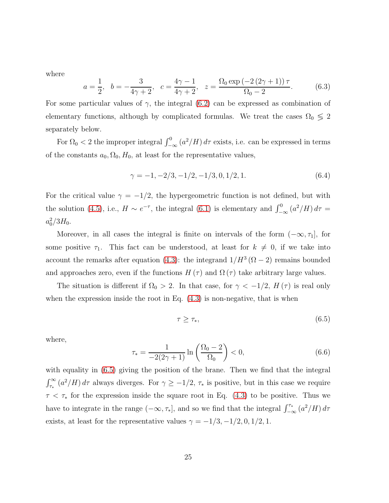where

$$
a = \frac{1}{2}
$$
,  $b = -\frac{3}{4\gamma + 2}$ ,  $c = \frac{4\gamma - 1}{4\gamma + 2}$ ,  $z = \frac{\Omega_0 \exp(-2(2\gamma + 1))\tau}{\Omega_0 - 2}$ . (6.3)

For some particular values of  $\gamma$ , the integral [\(6.2\)](#page-23-2) can be expressed as combination of elementary functions, although by complicated formulas. We treat the cases  $\Omega_0 \leq 2$ separately below.

For  $\Omega_0 < 2$  the improper integral  $\int_{-\infty}^0 (a^2/H) d\tau$  exists, i.e. can be expressed in terms of the constants  $a_0$ ,  $\Omega_0$ ,  $H_0$ , at least for the representative values,

$$
\gamma = -1, -2/3, -1/2, -1/3, 0, 1/2, 1. \tag{6.4}
$$

For the critical value  $\gamma = -1/2$ , the hypergeometric function is not defined, but with the solution [\(4.5\)](#page-13-1), i.e.,  $H \sim e^{-\tau}$ , the integral [\(6.1\)](#page-23-1) is elementary and  $\int_{-\infty}^{0} (a^2/H) d\tau =$  $a_0^2/3H_0$ .

Moreover, in all cases the integral is finite on intervals of the form  $(-\infty, \tau_1]$ , for some positive  $\tau_1$ . This fact can be understood, at least for  $k \neq 0$ , if we take into account the remarks after equation [\(4.3\)](#page-11-2): the integrand  $1/H^3(\Omega-2)$  remains bounded and approaches zero, even if the functions  $H(\tau)$  and  $\Omega(\tau)$  take arbitrary large values.

The situation is different if  $\Omega_0 > 2$ . In that case, for  $\gamma < -1/2$ ,  $H(\tau)$  is real only when the expression inside the root in Eq.  $(4.3)$  is non-negative, that is when

<span id="page-24-0"></span>
$$
\tau \ge \tau_*,\tag{6.5}
$$

where,

$$
\tau_* = \frac{1}{-2(2\gamma + 1)} \ln \left( \frac{\Omega_0 - 2}{\Omega_0} \right) < 0,\tag{6.6}
$$

with equality in  $(6.5)$  giving the position of the brane. Then we find that the integral  $\int_{\tau_*}^{\infty} (a^2/H) d\tau$  always diverges. For  $\gamma \geq -1/2$ ,  $\tau_*$  is positive, but in this case we require  $\tau < \tau_*$  for the expression inside the square root in Eq. [\(4.3\)](#page-11-2) to be positive. Thus we have to integrate in the range  $(-\infty, \tau_*]$ , and so we find that the integral  $\int_{-\infty}^{\tau_*} (a^2/H) d\tau$ exists, at least for the representative values  $\gamma = -1/3, -1/2, 0, 1/2, 1$ .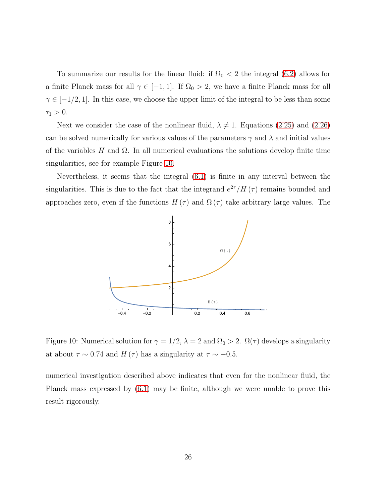To summarize our results for the linear fluid: if  $\Omega_0 < 2$  the integral [\(6.2\)](#page-23-2) allows for a finite Planck mass for all  $\gamma \in [-1, 1]$ . If  $\Omega_0 > 2$ , we have a finite Planck mass for all  $\gamma \in [-1/2, 1]$ . In this case, we choose the upper limit of the integral to be less than some  $\tau_1 > 0.$ 

Next we consider the case of the nonlinear fluid,  $\lambda \neq 1$ . Equations [\(2.25\)](#page-8-1) and [\(2.26\)](#page-8-2) can be solved numerically for various values of the parameters  $\gamma$  and  $\lambda$  and initial values of the variables H and  $\Omega$ . In all numerical evaluations the solutions develop finite time singularities, see for example Figure [10.](#page-25-0)

Nevertheless, it seems that the integral [\(6.1\)](#page-23-1) is finite in any interval between the singularities. This is due to the fact that the integrand  $e^{2\tau}/H(\tau)$  remains bounded and approaches zero, even if the functions  $H(\tau)$  and  $\Omega(\tau)$  take arbitrary large values. The



<span id="page-25-0"></span>Figure 10: Numerical solution for  $\gamma = 1/2$ ,  $\lambda = 2$  and  $\Omega_0 > 2$ .  $\Omega(\tau)$  develops a singularity at about  $\tau \sim 0.74$  and  $H(\tau)$  has a singularity at  $\tau \sim -0.5$ .

numerical investigation described above indicates that even for the nonlinear fluid, the Planck mass expressed by [\(6.1\)](#page-23-1) may be finite, although we were unable to prove this result rigorously.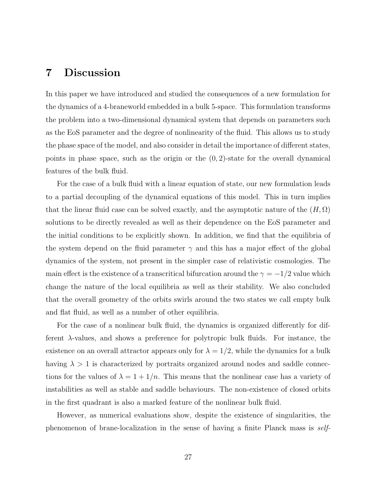### <span id="page-26-0"></span>7 Discussion

In this paper we have introduced and studied the consequences of a new formulation for the dynamics of a 4-braneworld embedded in a bulk 5-space. This formulation transforms the problem into a two-dimensional dynamical system that depends on parameters such as the EoS parameter and the degree of nonlinearity of the fluid. This allows us to study the phase space of the model, and also consider in detail the importance of different states, points in phase space, such as the origin or the  $(0, 2)$ -state for the overall dynamical features of the bulk fluid.

For the case of a bulk fluid with a linear equation of state, our new formulation leads to a partial decoupling of the dynamical equations of this model. This in turn implies that the linear fluid case can be solved exactly, and the asymptotic nature of the  $(H, \Omega)$ solutions to be directly revealed as well as their dependence on the EoS parameter and the initial conditions to be explicitly shown. In addition, we find that the equilibria of the system depend on the fluid parameter  $\gamma$  and this has a major effect of the global dynamics of the system, not present in the simpler case of relativistic cosmologies. The main effect is the existence of a transcritical bifurcation around the  $\gamma = -1/2$  value which change the nature of the local equilibria as well as their stability. We also concluded that the overall geometry of the orbits swirls around the two states we call empty bulk and flat fluid, as well as a number of other equilibria.

For the case of a nonlinear bulk fluid, the dynamics is organized differently for different  $\lambda$ -values, and shows a preference for polytropic bulk fluids. For instance, the existence on an overall attractor appears only for  $\lambda = 1/2$ , while the dynamics for a bulk having  $\lambda > 1$  is characterized by portraits organized around nodes and saddle connections for the values of  $\lambda = 1 + 1/n$ . This means that the nonlinear case has a variety of instabilities as well as stable and saddle behaviours. The non-existence of closed orbits in the first quadrant is also a marked feature of the nonlinear bulk fluid.

However, as numerical evaluations show, despite the existence of singularities, the phenomenon of brane-localization in the sense of having a finite Planck mass is self-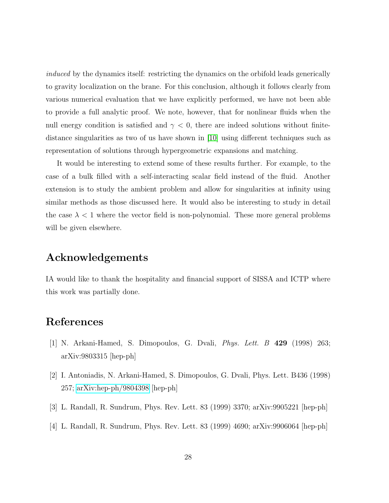induced by the dynamics itself: restricting the dynamics on the orbifold leads generically to gravity localization on the brane. For this conclusion, although it follows clearly from various numerical evaluation that we have explicitly performed, we have not been able to provide a full analytic proof. We note, however, that for nonlinear fluids when the null energy condition is satisfied and  $\gamma < 0$ , there are indeed solutions without finitedistance singularities as two of us have shown in [\[10\]](#page-28-0) using different techniques such as representation of solutions through hypergeometric expansions and matching.

It would be interesting to extend some of these results further. For example, to the case of a bulk filled with a self-interacting scalar field instead of the fluid. Another extension is to study the ambient problem and allow for singularities at infinity using similar methods as those discussed here. It would also be interesting to study in detail the case  $\lambda < 1$  where the vector field is non-polynomial. These more general problems will be given elsewhere.

#### <span id="page-27-0"></span>Acknowledgements

IA would like to thank the hospitality and financial support of SISSA and ICTP where this work was partially done.

#### <span id="page-27-1"></span>References

- [1] N. Arkani-Hamed, S. Dimopoulos, G. Dvali, Phys. Lett. B 429 (1998) 263; arXiv:9803315 [hep-ph]
- [2] I. Antoniadis, N. Arkani-Hamed, S. Dimopoulos, G. Dvali, Phys. Lett. B436 (1998) 257; [arXiv:hep-ph/9804398](http://arxiv.org/abs/hep-ph/9804398) [hep-ph]
- [3] L. Randall, R. Sundrum, Phys. Rev. Lett. 83 (1999) 3370; arXiv:9905221 [hep-ph]
- [4] L. Randall, R. Sundrum, Phys. Rev. Lett. 83 (1999) 4690; arXiv:9906064 [hep-ph]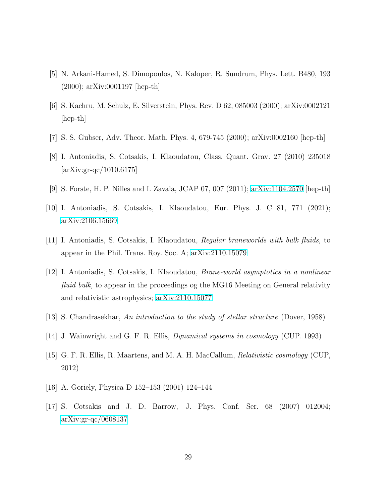- [5] N. Arkani-Hamed, S. Dimopoulos, N. Kaloper, R. Sundrum, Phys. Lett. B480, 193 (2000); arXiv:0001197 [hep-th]
- [6] S. Kachru, M. Schulz, E. Silverstein, Phys. Rev. D 62, 085003 (2000); arXiv:0002121 [hep-th]
- [7] S. S. Gubser, Adv. Theor. Math. Phys. 4, 679-745 (2000); arXiv:0002160 [hep-th]
- [8] I. Antoniadis, S. Cotsakis, I. Klaoudatou, Class. Quant. Grav. 27 (2010) 235018  $[\arXiv:gr-qc/1010.6175]$
- <span id="page-28-0"></span>[9] S. Forste, H. P. Nilles and I. Zavala, JCAP 07, 007 (2011); [arXiv:1104.2570](http://arxiv.org/abs/1104.2570) [hep-th]
- <span id="page-28-1"></span>[10] I. Antoniadis, S. Cotsakis, I. Klaoudatou, Eur. Phys. J. C 81, 771 (2021); [arXiv:2106.15669](http://arxiv.org/abs/2106.15669)
- <span id="page-28-2"></span>[11] I. Antoniadis, S. Cotsakis, I. Klaoudatou, Regular braneworlds with bulk fluids, to appear in the Phil. Trans. Roy. Soc. A; [arXiv:2110.15079](http://arxiv.org/abs/2110.15079)
- [12] I. Antoniadis, S. Cotsakis, I. Klaoudatou, Brane-world asymptotics in a nonlinear fluid bulk, to appear in the proceedings og the MG16 Meeting on General relativity and relativistic astrophysics; [arXiv:2110.15077](http://arxiv.org/abs/2110.15077)
- <span id="page-28-3"></span>[13] S. Chandrasekhar, An introduction to the study of stellar structure (Dover, 1958)
- [14] J. Wainwright and G. F. R. Ellis, Dynamical systems in cosmology (CUP. 1993)
- <span id="page-28-4"></span>[15] G. F. R. Ellis, R. Maartens, and M. A. H. MacCallum, Relativistic cosmology (CUP, 2012)
- <span id="page-28-5"></span>[16] A. Goriely, Physica D 152–153 (2001) 124–144
- [17] S. Cotsakis and J. D. Barrow, J. Phys. Conf. Ser. 68 (2007) 012004; [arXiv:gr-qc/0608137](http://arxiv.org/abs/gr-qc/0608137)